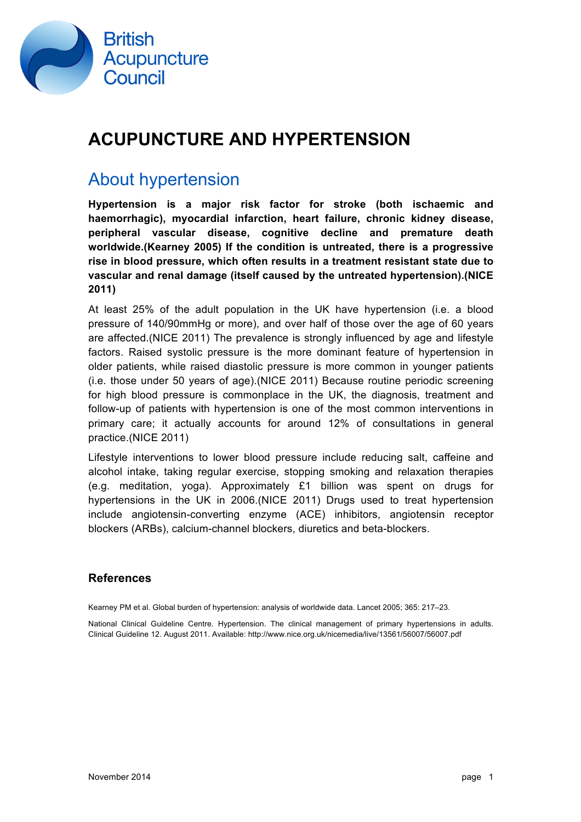

## **ACUPUNCTURE AND HYPERTENSION**

## About hypertension

**Hypertension is a major risk factor for stroke (both ischaemic and haemorrhagic), myocardial infarction, heart failure, chronic kidney disease, peripheral vascular disease, cognitive decline and premature death worldwide.(Kearney 2005) If the condition is untreated, there is a progressive rise in blood pressure, which often results in a treatment resistant state due to vascular and renal damage (itself caused by the untreated hypertension).(NICE 2011)**

At least 25% of the adult population in the UK have hypertension (i.e. a blood pressure of 140/90mmHg or more), and over half of those over the age of 60 years are affected.(NICE 2011) The prevalence is strongly influenced by age and lifestyle factors. Raised systolic pressure is the more dominant feature of hypertension in older patients, while raised diastolic pressure is more common in younger patients (i.e. those under 50 years of age).(NICE 2011) Because routine periodic screening for high blood pressure is commonplace in the UK, the diagnosis, treatment and follow-up of patients with hypertension is one of the most common interventions in primary care; it actually accounts for around 12% of consultations in general practice.(NICE 2011)

Lifestyle interventions to lower blood pressure include reducing salt, caffeine and alcohol intake, taking regular exercise, stopping smoking and relaxation therapies (e.g. meditation, yoga). Approximately £1 billion was spent on drugs for hypertensions in the UK in 2006.(NICE 2011) Drugs used to treat hypertension include angiotensin-converting enzyme (ACE) inhibitors, angiotensin receptor blockers (ARBs), calcium-channel blockers, diuretics and beta-blockers.

### **References**

Kearney PM et al. Global burden of hypertension: analysis of worldwide data. Lancet 2005; 365: 217–23.

National Clinical Guideline Centre. Hypertension. The clinical management of primary hypertensions in adults. Clinical Guideline 12. August 2011. Available: http://www.nice.org.uk/nicemedia/live/13561/56007/56007.pdf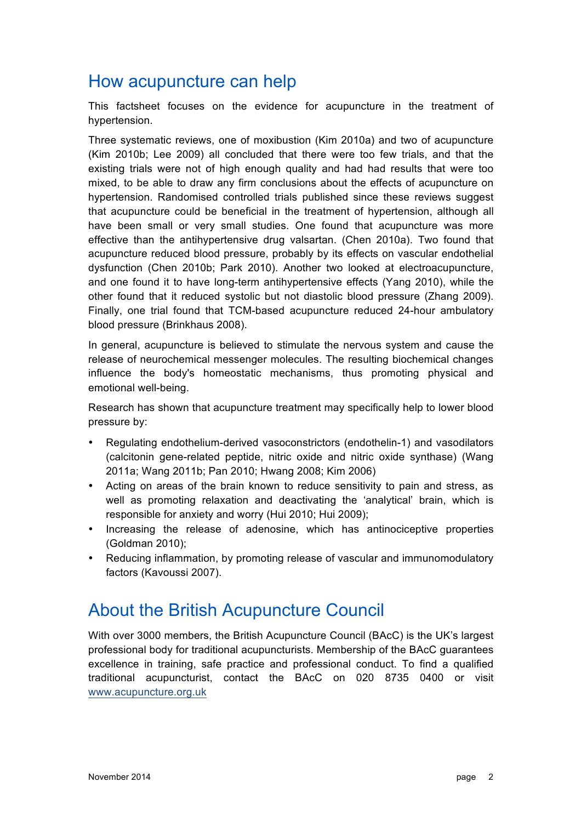## How acupuncture can help

This factsheet focuses on the evidence for acupuncture in the treatment of hypertension.

Three systematic reviews, one of moxibustion (Kim 2010a) and two of acupuncture (Kim 2010b; Lee 2009) all concluded that there were too few trials, and that the existing trials were not of high enough quality and had had results that were too mixed, to be able to draw any firm conclusions about the effects of acupuncture on hypertension. Randomised controlled trials published since these reviews suggest that acupuncture could be beneficial in the treatment of hypertension, although all have been small or very small studies. One found that acupuncture was more effective than the antihypertensive drug valsartan. (Chen 2010a). Two found that acupuncture reduced blood pressure, probably by its effects on vascular endothelial dysfunction (Chen 2010b; Park 2010). Another two looked at electroacupuncture, and one found it to have long-term antihypertensive effects (Yang 2010), while the other found that it reduced systolic but not diastolic blood pressure (Zhang 2009). Finally, one trial found that TCM-based acupuncture reduced 24-hour ambulatory blood pressure (Brinkhaus 2008).

In general, acupuncture is believed to stimulate the nervous system and cause the release of neurochemical messenger molecules. The resulting biochemical changes influence the body's homeostatic mechanisms, thus promoting physical and emotional well-being.

Research has shown that acupuncture treatment may specifically help to lower blood pressure by:

- Regulating endothelium-derived vasoconstrictors (endothelin-1) and vasodilators (calcitonin gene-related peptide, nitric oxide and nitric oxide synthase) (Wang 2011a; Wang 2011b; Pan 2010; Hwang 2008; Kim 2006)
- Acting on areas of the brain known to reduce sensitivity to pain and stress, as well as promoting relaxation and deactivating the 'analytical' brain, which is responsible for anxiety and worry (Hui 2010; Hui 2009);
- Increasing the release of adenosine, which has antinociceptive properties (Goldman 2010);
- Reducing inflammation, by promoting release of vascular and immunomodulatory factors (Kavoussi 2007).

## About the British Acupuncture Council

With over 3000 members, the British Acupuncture Council (BAcC) is the UK's largest professional body for traditional acupuncturists. Membership of the BAcC guarantees excellence in training, safe practice and professional conduct. To find a qualified traditional acupuncturist, contact the BAcC on 020 8735 0400 or visit www.acupuncture.org.uk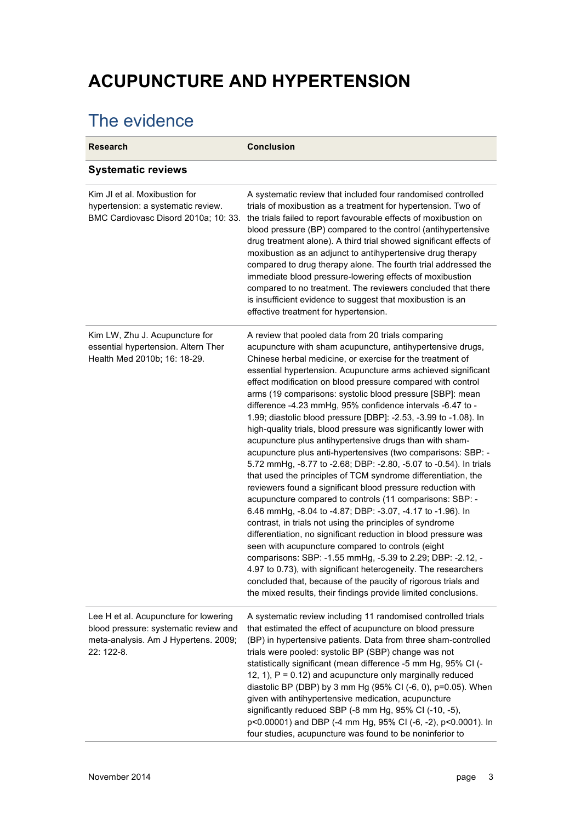# **ACUPUNCTURE AND HYPERTENSION**

# The evidence

| <b>Research</b>                                                                                                                      | <b>Conclusion</b>                                                                                                                                                                                                                                                                                                                                                                                                                                                                                                                                                                                                                                                                                                                                                                                                                                                                                                                                                                                                                                                                                                                                                                                                                                                                                                                                                                                                                                                                                 |
|--------------------------------------------------------------------------------------------------------------------------------------|---------------------------------------------------------------------------------------------------------------------------------------------------------------------------------------------------------------------------------------------------------------------------------------------------------------------------------------------------------------------------------------------------------------------------------------------------------------------------------------------------------------------------------------------------------------------------------------------------------------------------------------------------------------------------------------------------------------------------------------------------------------------------------------------------------------------------------------------------------------------------------------------------------------------------------------------------------------------------------------------------------------------------------------------------------------------------------------------------------------------------------------------------------------------------------------------------------------------------------------------------------------------------------------------------------------------------------------------------------------------------------------------------------------------------------------------------------------------------------------------------|
| <b>Systematic reviews</b>                                                                                                            |                                                                                                                                                                                                                                                                                                                                                                                                                                                                                                                                                                                                                                                                                                                                                                                                                                                                                                                                                                                                                                                                                                                                                                                                                                                                                                                                                                                                                                                                                                   |
| Kim JI et al. Moxibustion for<br>hypertension: a systematic review.<br>BMC Cardiovasc Disord 2010a; 10: 33.                          | A systematic review that included four randomised controlled<br>trials of moxibustion as a treatment for hypertension. Two of<br>the trials failed to report favourable effects of moxibustion on<br>blood pressure (BP) compared to the control (antihypertensive<br>drug treatment alone). A third trial showed significant effects of<br>moxibustion as an adjunct to antihypertensive drug therapy<br>compared to drug therapy alone. The fourth trial addressed the<br>immediate blood pressure-lowering effects of moxibustion<br>compared to no treatment. The reviewers concluded that there<br>is insufficient evidence to suggest that moxibustion is an<br>effective treatment for hypertension.                                                                                                                                                                                                                                                                                                                                                                                                                                                                                                                                                                                                                                                                                                                                                                                       |
| Kim LW, Zhu J. Acupuncture for<br>essential hypertension. Altern Ther<br>Health Med 2010b; 16: 18-29.                                | A review that pooled data from 20 trials comparing<br>acupuncture with sham acupuncture, antihypertensive drugs,<br>Chinese herbal medicine, or exercise for the treatment of<br>essential hypertension. Acupuncture arms achieved significant<br>effect modification on blood pressure compared with control<br>arms (19 comparisons: systolic blood pressure [SBP]: mean<br>difference -4.23 mmHg, 95% confidence intervals -6.47 to -<br>1.99; diastolic blood pressure [DBP]: -2.53, -3.99 to -1.08). In<br>high-quality trials, blood pressure was significantly lower with<br>acupuncture plus antihypertensive drugs than with sham-<br>acupuncture plus anti-hypertensives (two comparisons: SBP: -<br>5.72 mmHg, -8.77 to -2.68; DBP: -2.80, -5.07 to -0.54). In trials<br>that used the principles of TCM syndrome differentiation, the<br>reviewers found a significant blood pressure reduction with<br>acupuncture compared to controls (11 comparisons: SBP: -<br>6.46 mmHg, -8.04 to -4.87; DBP: -3.07, -4.17 to -1.96). In<br>contrast, in trials not using the principles of syndrome<br>differentiation, no significant reduction in blood pressure was<br>seen with acupuncture compared to controls (eight<br>comparisons: SBP: -1.55 mmHg, -5.39 to 2.29; DBP: -2.12, -<br>4.97 to 0.73), with significant heterogeneity. The researchers<br>concluded that, because of the paucity of rigorous trials and<br>the mixed results, their findings provide limited conclusions. |
| Lee H et al. Acupuncture for lowering<br>blood pressure: systematic review and<br>meta-analysis. Am J Hypertens. 2009;<br>22: 122-8. | A systematic review including 11 randomised controlled trials<br>that estimated the effect of acupuncture on blood pressure<br>(BP) in hypertensive patients. Data from three sham-controlled<br>trials were pooled: systolic BP (SBP) change was not<br>statistically significant (mean difference -5 mm Hg, 95% CI (-<br>12, 1), $P = 0.12$ ) and acupuncture only marginally reduced<br>diastolic BP (DBP) by 3 mm Hg (95% CI (-6, 0), p=0.05). When<br>given with antihypertensive medication, acupuncture<br>significantly reduced SBP (-8 mm Hg, 95% CI (-10, -5),<br>p<0.00001) and DBP (-4 mm Hg, 95% CI (-6, -2), p<0.0001). In<br>four studies, acupuncture was found to be noninferior to                                                                                                                                                                                                                                                                                                                                                                                                                                                                                                                                                                                                                                                                                                                                                                                              |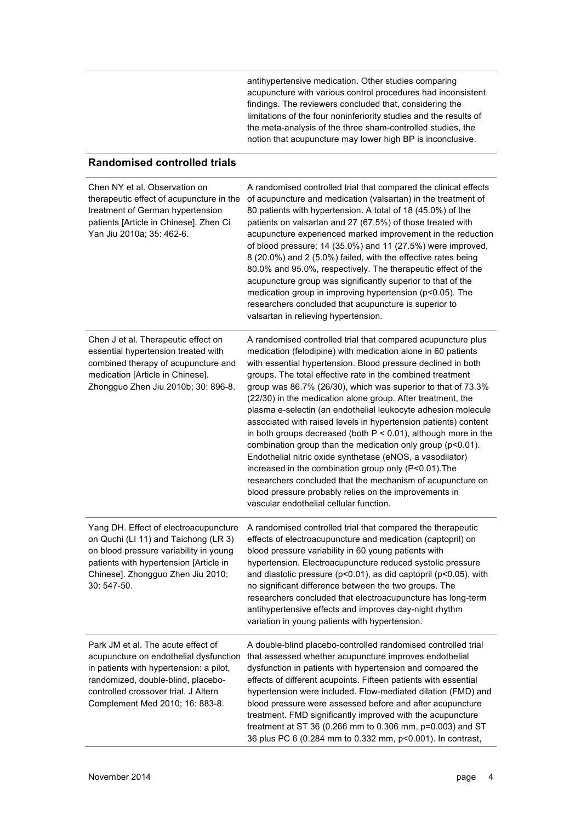antihypertensive medication. Other studies comparing acupuncture with various control procedures had inconsistent findings. The reviewers concluded that, considering the limitations of the four noninferiority studies and the results of the meta-analysis of the three sham-controlled studies, the notion that acupuncture may lower high BP is inconclusive.

#### **Randomised controlled trials**

| Chen NY et al. Observation on<br>therapeutic effect of acupuncture in the<br>treatment of German hypertension<br>patients [Article in Chinese]. Zhen Ci<br>Yan Jiu 2010a; 35: 462-6.                                                     | A randomised controlled trial that compared the clinical effects<br>of acupuncture and medication (valsartan) in the treatment of<br>80 patients with hypertension. A total of 18 (45.0%) of the<br>patients on valsartan and 27 (67.5%) of those treated with<br>acupuncture experienced marked improvement in the reduction<br>of blood pressure; 14 (35.0%) and 11 (27.5%) were improved,<br>8 (20.0%) and 2 (5.0%) failed, with the effective rates being<br>80.0% and 95.0%, respectively. The therapeutic effect of the<br>acupuncture group was significantly superior to that of the<br>medication group in improving hypertension (p<0.05). The<br>researchers concluded that acupuncture is superior to<br>valsartan in relieving hypertension.                                                                                                                                                                                                |
|------------------------------------------------------------------------------------------------------------------------------------------------------------------------------------------------------------------------------------------|----------------------------------------------------------------------------------------------------------------------------------------------------------------------------------------------------------------------------------------------------------------------------------------------------------------------------------------------------------------------------------------------------------------------------------------------------------------------------------------------------------------------------------------------------------------------------------------------------------------------------------------------------------------------------------------------------------------------------------------------------------------------------------------------------------------------------------------------------------------------------------------------------------------------------------------------------------|
| Chen J et al. Therapeutic effect on<br>essential hypertension treated with<br>combined therapy of acupuncture and<br>medication [Article in Chinese].<br>Zhongguo Zhen Jiu 2010b; 30: 896-8.                                             | A randomised controlled trial that compared acupuncture plus<br>medication (felodipine) with medication alone in 60 patients<br>with essential hypertension. Blood pressure declined in both<br>groups. The total effective rate in the combined treatment<br>group was 86.7% (26/30), which was superior to that of 73.3%<br>(22/30) in the medication alone group. After treatment, the<br>plasma e-selectin (an endothelial leukocyte adhesion molecule<br>associated with raised levels in hypertension patients) content<br>in both groups decreased (both $P < 0.01$ ), although more in the<br>combination group than the medication only group (p<0.01).<br>Endothelial nitric oxide synthetase (eNOS, a vasodilator)<br>increased in the combination group only (P<0.01). The<br>researchers concluded that the mechanism of acupuncture on<br>blood pressure probably relies on the improvements in<br>vascular endothelial cellular function. |
| Yang DH. Effect of electroacupuncture<br>on Quchi (LI 11) and Taichong (LR 3)<br>on blood pressure variability in young<br>patients with hypertension [Article in<br>Chinese]. Zhongguo Zhen Jiu 2010;<br>30: 547-50.                    | A randomised controlled trial that compared the therapeutic<br>effects of electroacupuncture and medication (captopril) on<br>blood pressure variability in 60 young patients with<br>hypertension. Electroacupuncture reduced systolic pressure<br>and diastolic pressure (p<0.01), as did captopril (p<0.05), with<br>no significant difference between the two groups. The<br>researchers concluded that electroacupuncture has long-term<br>antihypertensive effects and improves day-night rhythm<br>variation in young patients with hypertension.                                                                                                                                                                                                                                                                                                                                                                                                 |
| Park JM et al. The acute effect of<br>acupuncture on endothelial dysfunction<br>in patients with hypertension: a pilot,<br>randomized, double-blind, placebo-<br>controlled crossover trial. J Altern<br>Complement Med 2010; 16: 883-8. | A double-blind placebo-controlled randomised controlled trial<br>that assessed whether acupuncture improves endothelial<br>dysfunction in patients with hypertension and compared the<br>effects of different acupoints. Fifteen patients with essential<br>hypertension were included. Flow-mediated dilation (FMD) and<br>blood pressure were assessed before and after acupuncture<br>treatment. FMD significantly improved with the acupuncture<br>treatment at ST 36 (0.266 mm to 0.306 mm, p=0.003) and ST<br>36 plus PC 6 (0.284 mm to 0.332 mm, p<0.001). In contrast,                                                                                                                                                                                                                                                                                                                                                                           |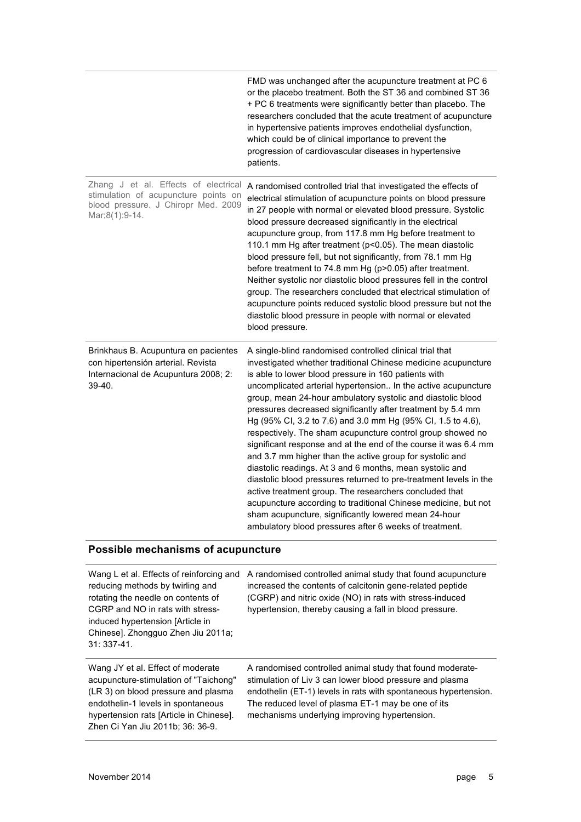|                                                                                                                                       | FMD was unchanged after the acupuncture treatment at PC 6<br>or the placebo treatment. Both the ST 36 and combined ST 36<br>+ PC 6 treatments were significantly better than placebo. The<br>researchers concluded that the acute treatment of acupuncture<br>in hypertensive patients improves endothelial dysfunction,<br>which could be of clinical importance to prevent the<br>progression of cardiovascular diseases in hypertensive<br>patients.                                                                                                                                                                                                                                                                                                                                                                                                                                                                                                                                                                     |
|---------------------------------------------------------------------------------------------------------------------------------------|-----------------------------------------------------------------------------------------------------------------------------------------------------------------------------------------------------------------------------------------------------------------------------------------------------------------------------------------------------------------------------------------------------------------------------------------------------------------------------------------------------------------------------------------------------------------------------------------------------------------------------------------------------------------------------------------------------------------------------------------------------------------------------------------------------------------------------------------------------------------------------------------------------------------------------------------------------------------------------------------------------------------------------|
| Zhang J et al. Effects of electrical<br>stimulation of acupuncture points on<br>blood pressure. J Chiropr Med. 2009<br>Mar;8(1):9-14. | A randomised controlled trial that investigated the effects of<br>electrical stimulation of acupuncture points on blood pressure<br>in 27 people with normal or elevated blood pressure. Systolic<br>blood pressure decreased significantly in the electrical<br>acupuncture group, from 117.8 mm Hg before treatment to<br>110.1 mm Hg after treatment (p<0.05). The mean diastolic<br>blood pressure fell, but not significantly, from 78.1 mm Hg<br>before treatment to 74.8 mm Hg (p>0.05) after treatment.<br>Neither systolic nor diastolic blood pressures fell in the control<br>group. The researchers concluded that electrical stimulation of<br>acupuncture points reduced systolic blood pressure but not the<br>diastolic blood pressure in people with normal or elevated<br>blood pressure.                                                                                                                                                                                                                 |
| Brinkhaus B. Acupuntura en pacientes<br>con hipertensión arterial. Revista<br>Internacional de Acupuntura 2008; 2:<br>39-40.          | A single-blind randomised controlled clinical trial that<br>investigated whether traditional Chinese medicine acupuncture<br>is able to lower blood pressure in 160 patients with<br>uncomplicated arterial hypertension In the active acupuncture<br>group, mean 24-hour ambulatory systolic and diastolic blood<br>pressures decreased significantly after treatment by 5.4 mm<br>Hg (95% Cl, 3.2 to 7.6) and 3.0 mm Hg (95% Cl, 1.5 to 4.6),<br>respectively. The sham acupuncture control group showed no<br>significant response and at the end of the course it was 6.4 mm<br>and 3.7 mm higher than the active group for systolic and<br>diastolic readings. At 3 and 6 months, mean systolic and<br>diastolic blood pressures returned to pre-treatment levels in the<br>active treatment group. The researchers concluded that<br>acupuncture according to traditional Chinese medicine, but not<br>sham acupuncture, significantly lowered mean 24-hour<br>ambulatory blood pressures after 6 weeks of treatment. |

### **Possible mechanisms of acupuncture**

| Wang L et al. Effects of reinforcing and<br>reducing methods by twirling and<br>rotating the needle on contents of<br>CGRP and NO in rats with stress-<br>induced hypertension [Article in<br>Chinese]. Zhongquo Zhen Jiu 2011a;<br>$31:337-41.$ | A randomised controlled animal study that found acupuncture<br>increased the contents of calcitonin gene-related peptide<br>(CGRP) and nitric oxide (NO) in rats with stress-induced<br>hypertension, thereby causing a fall in blood pressure.                                                 |
|--------------------------------------------------------------------------------------------------------------------------------------------------------------------------------------------------------------------------------------------------|-------------------------------------------------------------------------------------------------------------------------------------------------------------------------------------------------------------------------------------------------------------------------------------------------|
| Wang JY et al. Effect of moderate<br>acupuncture-stimulation of "Taichong"<br>(LR 3) on blood pressure and plasma<br>endothelin-1 levels in spontaneous<br>hypertension rats [Article in Chinese].<br>Zhen Ci Yan Jiu 2011b; 36: 36-9.           | A randomised controlled animal study that found moderate-<br>stimulation of Liv 3 can lower blood pressure and plasma<br>endothelin (ET-1) levels in rats with spontaneous hypertension.<br>The reduced level of plasma ET-1 may be one of its<br>mechanisms underlying improving hypertension. |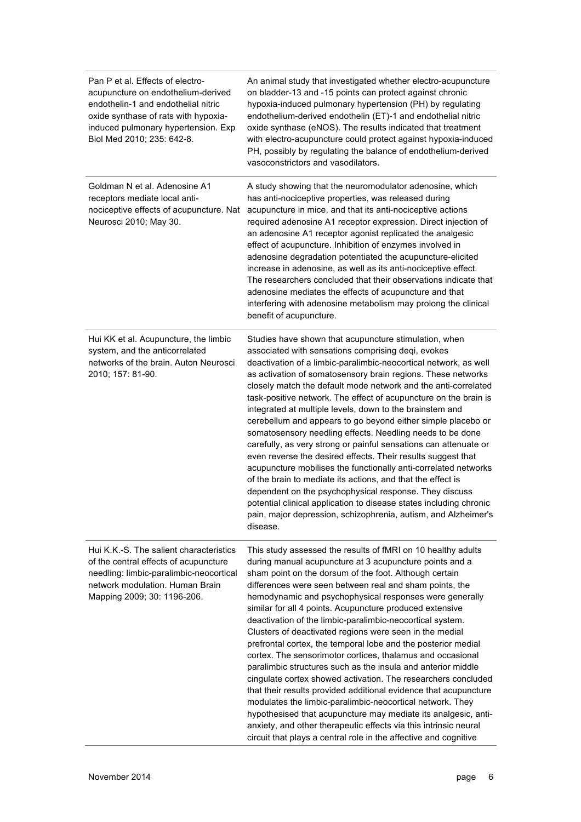| Pan P et al. Effects of electro-<br>acupuncture on endothelium-derived<br>endothelin-1 and endothelial nitric<br>oxide synthase of rats with hypoxia-<br>induced pulmonary hypertension. Exp<br>Biol Med 2010; 235: 642-8. | An animal study that investigated whether electro-acupuncture<br>on bladder-13 and -15 points can protect against chronic<br>hypoxia-induced pulmonary hypertension (PH) by regulating<br>endothelium-derived endothelin (ET)-1 and endothelial nitric<br>oxide synthase (eNOS). The results indicated that treatment<br>with electro-acupuncture could protect against hypoxia-induced<br>PH, possibly by regulating the balance of endothelium-derived<br>vasoconstrictors and vasodilators.                                                                                                                                                                                                                                                                                                                                                                                                                                                                                                                                                                                                         |
|----------------------------------------------------------------------------------------------------------------------------------------------------------------------------------------------------------------------------|--------------------------------------------------------------------------------------------------------------------------------------------------------------------------------------------------------------------------------------------------------------------------------------------------------------------------------------------------------------------------------------------------------------------------------------------------------------------------------------------------------------------------------------------------------------------------------------------------------------------------------------------------------------------------------------------------------------------------------------------------------------------------------------------------------------------------------------------------------------------------------------------------------------------------------------------------------------------------------------------------------------------------------------------------------------------------------------------------------|
| Goldman N et al. Adenosine A1<br>receptors mediate local anti-<br>nociceptive effects of acupuncture. Nat<br>Neurosci 2010; May 30.                                                                                        | A study showing that the neuromodulator adenosine, which<br>has anti-nociceptive properties, was released during<br>acupuncture in mice, and that its anti-nociceptive actions<br>required adenosine A1 receptor expression. Direct injection of<br>an adenosine A1 receptor agonist replicated the analgesic<br>effect of acupuncture. Inhibition of enzymes involved in<br>adenosine degradation potentiated the acupuncture-elicited<br>increase in adenosine, as well as its anti-nociceptive effect.<br>The researchers concluded that their observations indicate that<br>adenosine mediates the effects of acupuncture and that<br>interfering with adenosine metabolism may prolong the clinical<br>benefit of acupuncture.                                                                                                                                                                                                                                                                                                                                                                    |
| Hui KK et al. Acupuncture, the limbic<br>system, and the anticorrelated<br>networks of the brain. Auton Neurosci<br>2010; 157: 81-90.                                                                                      | Studies have shown that acupuncture stimulation, when<br>associated with sensations comprising deqi, evokes<br>deactivation of a limbic-paralimbic-neocortical network, as well<br>as activation of somatosensory brain regions. These networks<br>closely match the default mode network and the anti-correlated<br>task-positive network. The effect of acupuncture on the brain is<br>integrated at multiple levels, down to the brainstem and<br>cerebellum and appears to go beyond either simple placebo or<br>somatosensory needling effects. Needling needs to be done<br>carefully, as very strong or painful sensations can attenuate or<br>even reverse the desired effects. Their results suggest that<br>acupuncture mobilises the functionally anti-correlated networks<br>of the brain to mediate its actions, and that the effect is<br>dependent on the psychophysical response. They discuss<br>potential clinical application to disease states including chronic<br>pain, major depression, schizophrenia, autism, and Alzheimer's<br>disease.                                     |
| Hui K.K.-S. The salient characteristics<br>of the central effects of acupuncture<br>needling: limbic-paralimbic-neocortical<br>network modulation. Human Brain<br>Mapping 2009; 30: 1196-206.                              | This study assessed the results of fMRI on 10 healthy adults<br>during manual acupuncture at 3 acupuncture points and a<br>sham point on the dorsum of the foot. Although certain<br>differences were seen between real and sham points, the<br>hemodynamic and psychophysical responses were generally<br>similar for all 4 points. Acupuncture produced extensive<br>deactivation of the limbic-paralimbic-neocortical system.<br>Clusters of deactivated regions were seen in the medial<br>prefrontal cortex, the temporal lobe and the posterior medial<br>cortex. The sensorimotor cortices, thalamus and occasional<br>paralimbic structures such as the insula and anterior middle<br>cingulate cortex showed activation. The researchers concluded<br>that their results provided additional evidence that acupuncture<br>modulates the limbic-paralimbic-neocortical network. They<br>hypothesised that acupuncture may mediate its analgesic, anti-<br>anxiety, and other therapeutic effects via this intrinsic neural<br>circuit that plays a central role in the affective and cognitive |